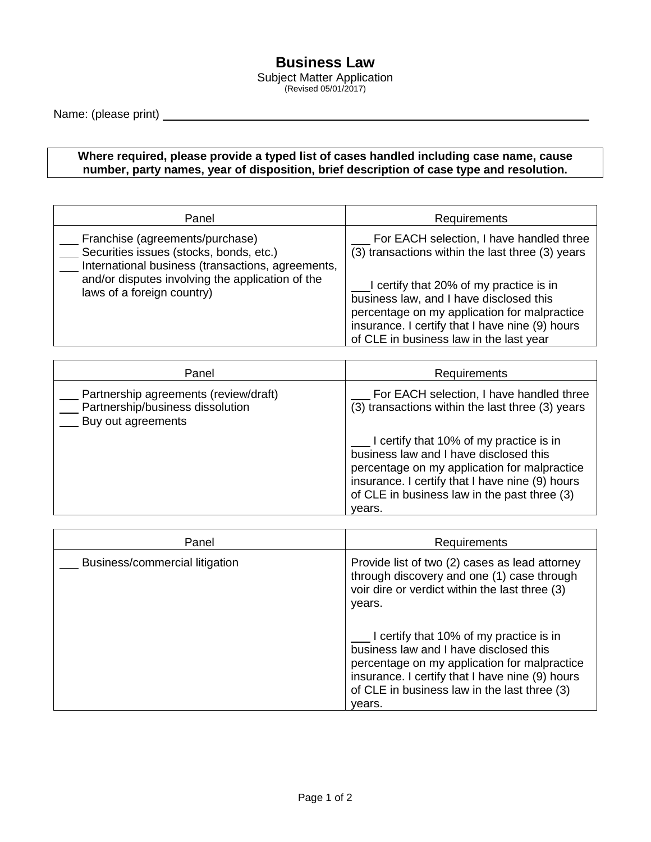## **Business Law**

Subject Matter Application (Revised 05/01/2017)

Name: (please print)

## **Where required, please provide a typed list of cases handled including case name, cause number, party names, year of disposition, brief description of case type and resolution.**

| Panel                                                                                                                                                                                                             | <b>Requirements</b>                                                                                                                                                                                                              |
|-------------------------------------------------------------------------------------------------------------------------------------------------------------------------------------------------------------------|----------------------------------------------------------------------------------------------------------------------------------------------------------------------------------------------------------------------------------|
| Franchise (agreements/purchase)<br>Securities issues (stocks, bonds, etc.)<br>International business (transactions, agreements,<br>and/or disputes involving the application of the<br>laws of a foreign country) | For EACH selection, I have handled three<br>(3) transactions within the last three (3) years                                                                                                                                     |
|                                                                                                                                                                                                                   | I certify that 20% of my practice is in<br>business law, and I have disclosed this<br>percentage on my application for malpractice<br>insurance. I certify that I have nine (9) hours<br>of CLE in business law in the last year |

| Panel                                                                                           | Requirements                                                                                                                                                                                                                                   |
|-------------------------------------------------------------------------------------------------|------------------------------------------------------------------------------------------------------------------------------------------------------------------------------------------------------------------------------------------------|
| Partnership agreements (review/draft)<br>Partnership/business dissolution<br>Buy out agreements | For EACH selection, I have handled three<br>(3) transactions within the last three (3) years                                                                                                                                                   |
|                                                                                                 | I certify that 10% of my practice is in<br>business law and I have disclosed this<br>percentage on my application for malpractice<br>insurance. I certify that I have nine (9) hours<br>of CLE in business law in the past three (3)<br>years. |

| Panel                          | Requirements                                                                                                                                                                                                                                   |
|--------------------------------|------------------------------------------------------------------------------------------------------------------------------------------------------------------------------------------------------------------------------------------------|
| Business/commercial litigation | Provide list of two (2) cases as lead attorney<br>through discovery and one (1) case through<br>voir dire or verdict within the last three (3)<br>years.                                                                                       |
|                                | I certify that 10% of my practice is in<br>business law and I have disclosed this<br>percentage on my application for malpractice<br>insurance. I certify that I have nine (9) hours<br>of CLE in business law in the last three (3)<br>vears. |